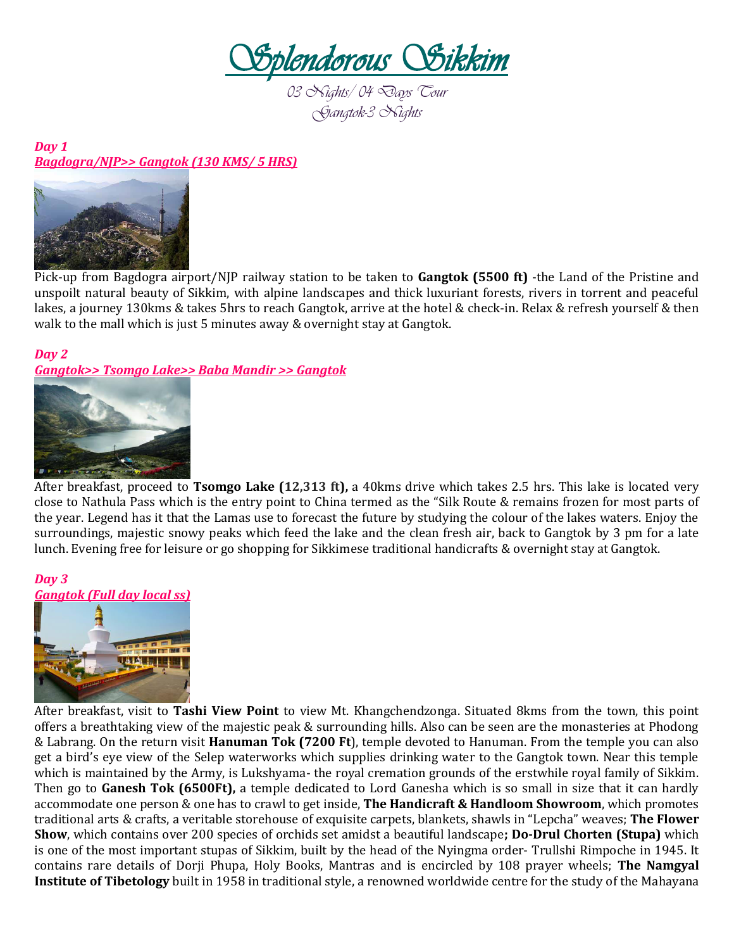

*03 Nights/ 04 Days Tour Gangtok-3 Nights* 

## *Day 1 Bagdogra/NJP>> Gangtok (130 KMS/ 5 HRS)*



Pick-up from Bagdogra airport/NJP railway station to be taken to **Gangtok (5500 ft)** -the Land of the Pristine and unspoilt natural beauty of Sikkim, with alpine landscapes and thick luxuriant forests, rivers in torrent and peaceful lakes, a journey 130kms & takes 5hrs to reach Gangtok, arrive at the hotel & check-in. Relax & refresh yourself & then walk to the mall which is just 5 minutes away & overnight stay at Gangtok.

## *Day 2*

*Gangtok>> Tsomgo Lake>> Baba Mandir >> Gangtok* 



After breakfast, proceed to **Tsomgo Lake (12,313 ft),** a 40kms drive which takes 2.5 hrs. This lake is located very close to Nathula Pass which is the entry point to China termed as the "Silk Route & remains frozen for most parts of the year. Legend has it that the Lamas use to forecast the future by studying the colour of the lakes waters. Enjoy the surroundings, majestic snowy peaks which feed the lake and the clean fresh air, back to Gangtok by 3 pm for a late lunch. Evening free for leisure or go shopping for Sikkimese traditional handicrafts & overnight stay at Gangtok.

## *Day 3 Gangtok (Full day local ss)*



After breakfast, visit to **Tashi View Point** to view Mt. Khangchendzonga. Situated 8kms from the town, this point offers a breathtaking view of the majestic peak & surrounding hills. Also can be seen are the monasteries at Phodong & Labrang. On the return visit **Hanuman Tok (7200 Ft**), temple devoted to Hanuman. From the temple you can also get a bird's eye view of the Selep waterworks which supplies drinking water to the Gangtok town. Near this temple which is maintained by the Army, is Lukshyama- the royal cremation grounds of the erstwhile royal family of Sikkim. Then go to **Ganesh Tok (6500Ft),** a temple dedicated to Lord Ganesha which is so small in size that it can hardly accommodate one person & one has to crawl to get inside, **The Handicraft & Handloom Showroom**, which promotes traditional arts & crafts, a veritable storehouse of exquisite carpets, blankets, shawls in "Lepcha" weaves; **The Flower Show**, which contains over 200 species of orchids set amidst a beautiful landscape**; Do-Drul Chorten (Stupa)** which is one of the most important stupas of Sikkim, built by the head of the Nyingma order- Trullshi Rimpoche in 1945. It contains rare details of Dorji Phupa, Holy Books, Mantras and is encircled by 108 prayer wheels; **The Namgyal Institute of Tibetology** built in 1958 in traditional style, a renowned worldwide centre for the study of the Mahayana